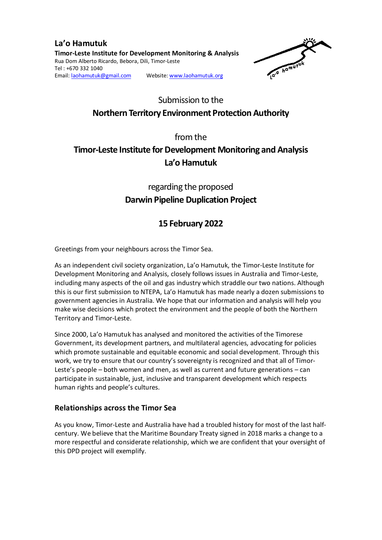**La'o Hamutuk Timor-Leste Institute for Development Monitoring & Analysis**  Rua Dom Alberto Ricardo, Bebora, Dili, Timor-Leste Tel : +670 332 1040 Email: laohamutuk@gmail.com Website: www.laohamutuk.org



# Submission to the **Northern Territory Environment Protection Authority**

from the

# **Timor-Leste Institute for Development Monitoring and Analysis La'o Hamutuk**

## regarding the proposed **Darwin Pipeline Duplication Project**

## **15 February 2022**

Greetings from your neighbours across the Timor Sea.

As an independent civil society organization, La'o Hamutuk, the Timor-Leste Institute for Development Monitoring and Analysis, closely follows issues in Australia and Timor-Leste, including many aspects of the oil and gas industry which straddle our two nations. Although this is our first submission to NTEPA, La'o Hamutuk has made nearly a dozen submissions to government agencies in Australia. We hope that our information and analysis will help you make wise decisions which protect the environment and the people of both the Northern Territory and Timor-Leste.

Since 2000, La'o Hamutuk has analysed and monitored the activities of the Timorese Government, its development partners, and multilateral agencies, advocating for policies which promote sustainable and equitable economic and social development. Through this work, we try to ensure that our country's sovereignty is recognized and that all of Timor-Leste's people – both women and men, as well as current and future generations – can participate in sustainable, just, inclusive and transparent development which respects human rights and people's cultures.

## **Relationships across the Timor Sea**

As you know, Timor-Leste and Australia have had a troubled history for most of the last halfcentury. We believe that the Maritime Boundary Treaty signed in 2018 marks a change to a more respectful and considerate relationship, which we are confident that your oversight of this DPD project will exemplify.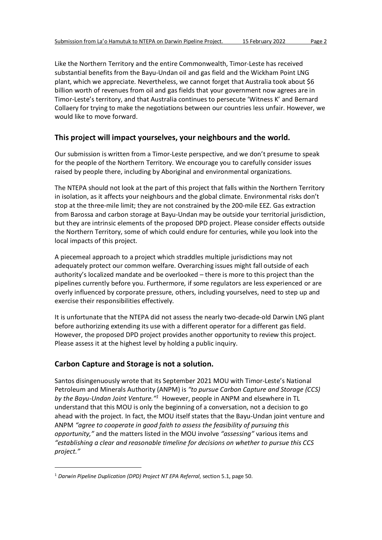Like the Northern Territory and the entire Commonwealth, Timor-Leste has received substantial benefits from the Bayu-Undan oil and gas field and the Wickham Point LNG plant, which we appreciate. Nevertheless, we cannot forget that Australia took about \$6 billion worth of revenues from oil and gas fields that your government now agrees are in Timor-Leste's territory, and that Australia continues to persecute 'Witness K' and Bernard Collaery for trying to make the negotiations between our countries less unfair. However, we would like to move forward.

### **This project will impact yourselves, your neighbours and the world.**

Our submission is written from a Timor-Leste perspective, and we don't presume to speak for the people of the Northern Territory. We encourage you to carefully consider issues raised by people there, including by Aboriginal and environmental organizations.

The NTEPA should not look at the part of this project that falls within the Northern Territory in isolation, as it affects your neighbours and the global climate. Environmental risks don't stop at the three-mile limit; they are not constrained by the 200-mile EEZ. Gas extraction from Barossa and carbon storage at Bayu-Undan may be outside your territorial jurisdiction, but they are intrinsic elements of the proposed DPD project. Please consider effects outside the Northern Territory, some of which could endure for centuries, while you look into the local impacts of this project.

A piecemeal approach to a project which straddles multiple jurisdictions may not adequately protect our common welfare. Overarching issues might fall outside of each authority's localized mandate and be overlooked – there is more to this project than the pipelines currently before you. Furthermore, if some regulators are less experienced or are overly influenced by corporate pressure, others, including yourselves, need to step up and exercise their responsibilities effectively.

It is unfortunate that the NTEPA did not assess the nearly two-decade-old Darwin LNG plant before authorizing extending its use with a different operator for a different gas field. However, the proposed DPD project provides another opportunity to review this project. Please assess it at the highest level by holding a public inquiry.

## **Carbon Capture and Storage is not a solution.**

l

Santos disingenuously wrote that its September 2021 MOU with Timor-Leste's National Petroleum and Minerals Authority (ANPM) is *"to pursue Carbon Capture and Storage (CCS)*  by the Bayu-Undan Joint Venture.<sup>"1</sup> However, people in ANPM and elsewhere in TL understand that this MOU is only the beginning of a conversation, not a decision to go ahead with the project. In fact, the MOU itself states that the Bayu-Undan joint venture and ANPM *"agree to cooperate in good faith to assess the feasibility of pursuing this opportunity,"* and the matters listed in the MOU involve *"assessing"* various items and *"establishing a clear and reasonable timeline for decisions on whether to pursue this CCS project."*

<sup>1</sup> *Darwin Pipeline Duplication (DPD) Project NT EPA Referral*, section 5.1, page 50.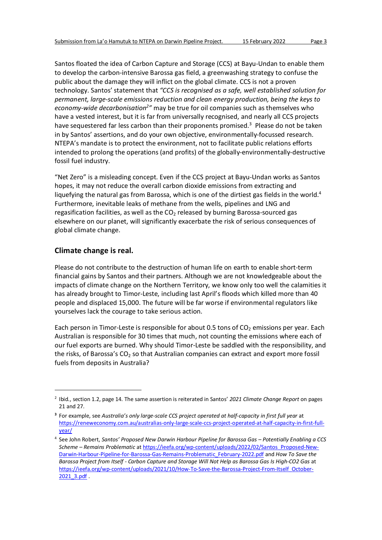Santos floated the idea of Carbon Capture and Storage (CCS) at Bayu-Undan to enable them to develop the carbon-intensive Barossa gas field, a greenwashing strategy to confuse the public about the damage they will inflict on the global climate. CCS is not a proven technology. Santos' statement that *"CCS is recognised as a safe, well established solution for permanent, large-scale emissions reduction and clean energy production, being the keys to economy-wide decarbonisation<sup>2</sup> "* may be true for oil companies such as themselves who have a vested interest, but it is far from universally recognised, and nearly all CCS projects have sequestered far less carbon than their proponents promised.<sup>3</sup> Please do not be taken in by Santos' assertions, and do your own objective, environmentally-focussed research. NTEPA's mandate is to protect the environment, not to facilitate public relations efforts intended to prolong the operations (and profits) of the globally-environmentally-destructive fossil fuel industry.

"Net Zero" is a misleading concept. Even if the CCS project at Bayu-Undan works as Santos hopes, it may not reduce the overall carbon dioxide emissions from extracting and liquefying the natural gas from Barossa, which is one of the dirtiest gas fields in the world.<sup>4</sup> Furthermore, inevitable leaks of methane from the wells, pipelines and LNG and regasification facilities, as well as the  $CO<sub>2</sub>$  released by burning Barossa-sourced gas elsewhere on our planet, will significantly exacerbate the risk of serious consequences of global climate change.

### **Climate change is real.**

l

Please do not contribute to the destruction of human life on earth to enable short-term financial gains by Santos and their partners. Although we are not knowledgeable about the impacts of climate change on the Northern Territory, we know only too well the calamities it has already brought to Timor-Leste, including last April's floods which killed more than 40 people and displaced 15,000. The future will be far worse if environmental regulators like yourselves lack the courage to take serious action.

Each person in Timor-Leste is responsible for about 0.5 tons of  $CO<sub>2</sub>$  emissions per year. Each Australian is responsible for 30 times that much, not counting the emissions where each of our fuel exports are burned. Why should Timor-Leste be saddled with the responsibility, and the risks, of Barossa's  $CO<sub>2</sub>$  so that Australian companies can extract and export more fossil fuels from deposits in Australia?

<sup>2</sup> Ibid., section 1.2, page 14. The same assertion is reiterated in Santos' *2021 Climate Change Report* on pages 21 and 27.

**<sup>3</sup>** For example, see *Australia's only large-scale CCS project operated at half-capacity in first full year* at https://reneweconomy.com.au/australias-only-large-scale-ccs-project-operated-at-half-capacity-in-first-fullyear/

<sup>4</sup> See John Robert, *Santos' Proposed New Darwin Harbour Pipeline for Barossa Gas – Potentially Enabling a CCS Scheme – Remains Problematic* at https://ieefa.org/wp-content/uploads/2022/02/Santos\_Proposed-New-Darwin-Harbour-Pipeline-for-Barossa-Gas-Remains-Problematic\_February-2022.pdf and *How To Save the Barossa Project from Itself - Carbon Capture and Storage Will Not Help as Barossa Gas Is High-CO2 Gas* at https://ieefa.org/wp-content/uploads/2021/10/How-To-Save-the-Barossa-Project-From-Itself\_October-2021 3.pdf .